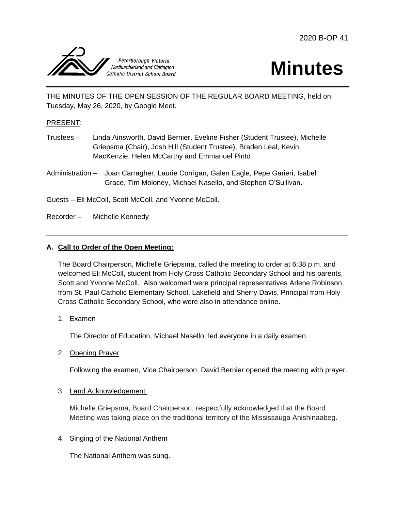



THE MINUTES OF THE OPEN SESSION OF THE REGULAR BOARD MEETING, held on Tuesday, May 26, 2020, by Google Meet.

### PRESENT:

- Trustees Linda Ainsworth, David Bernier, Eveline Fisher (Student Trustee), Michelle Griepsma (Chair), Josh Hill (Student Trustee), Braden Leal, Kevin MacKenzie, Helen McCarthy and Emmanuel Pinto
- Administration Joan Carragher, Laurie Corrigan, Galen Eagle, Pepe Garieri, Isabel Grace, Tim Moloney, Michael Nasello, and Stephen O'Sullivan.

Guests – Eli McColl, Scott McColl, and Yvonne McColl.

Recorder – Michelle Kennedy

### **A. Call to Order of the Open Meeting:**

The Board Chairperson, Michelle Griepsma, called the meeting to order at 6:38 p.m. and welcomed Eli McColl, student from Holy Cross Catholic Secondary School and his parents, Scott and Yvonne McColl. Also welcomed were principal representatives Arlene Robinson, from St. Paul Catholic Elementary School, Lakefield and Sherry Davis, Principal from Holy Cross Catholic Secondary School, who were also in attendance online.

1. Examen

The Director of Education, Michael Nasello, led everyone in a daily examen.

2. Opening Prayer

Following the examen, Vice Chairperson, David Bernier opened the meeting with prayer.

#### 3. Land Acknowledgement

Michelle Griepsma, Board Chairperson, respectfully acknowledged that the Board Meeting was taking place on the traditional territory of the Mississauga Anishinaabeg.

# 4. Singing of the National Anthem

The National Anthem was sung.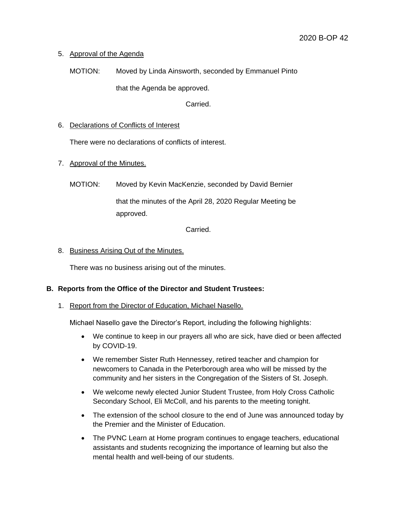### 5. Approval of the Agenda

MOTION: Moved by Linda Ainsworth, seconded by Emmanuel Pinto

that the Agenda be approved.

Carried.

### 6. Declarations of Conflicts of Interest

There were no declarations of conflicts of interest.

### 7. Approval of the Minutes.

MOTION: Moved by Kevin MacKenzie, seconded by David Bernier

that the minutes of the April 28, 2020 Regular Meeting be approved.

Carried.

### 8. Business Arising Out of the Minutes.

There was no business arising out of the minutes.

# **B. Reports from the Office of the Director and Student Trustees:**

1. Report from the Director of Education, Michael Nasello.

Michael Nasello gave the Director's Report, including the following highlights:

- We continue to keep in our prayers all who are sick, have died or been affected by COVID-19.
- We remember Sister Ruth Hennessey, retired teacher and champion for newcomers to Canada in the Peterborough area who will be missed by the community and her sisters in the Congregation of the Sisters of St. Joseph.
- We welcome newly elected Junior Student Trustee, from Holy Cross Catholic Secondary School, Eli McColl, and his parents to the meeting tonight.
- The extension of the school closure to the end of June was announced today by the Premier and the Minister of Education.
- The PVNC Learn at Home program continues to engage teachers, educational assistants and students recognizing the importance of learning but also the mental health and well-being of our students.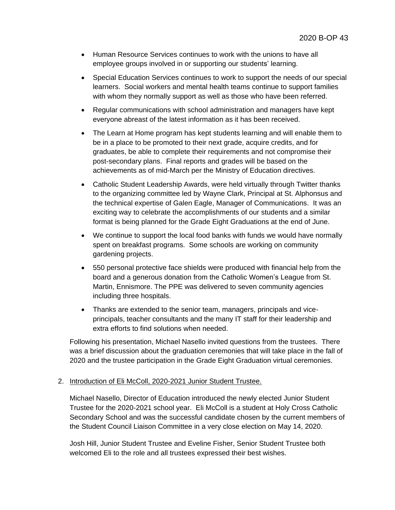- Human Resource Services continues to work with the unions to have all employee groups involved in or supporting our students' learning.
- Special Education Services continues to work to support the needs of our special learners. Social workers and mental health teams continue to support families with whom they normally support as well as those who have been referred.
- Regular communications with school administration and managers have kept everyone abreast of the latest information as it has been received.
- The Learn at Home program has kept students learning and will enable them to be in a place to be promoted to their next grade, acquire credits, and for graduates, be able to complete their requirements and not compromise their post-secondary plans. Final reports and grades will be based on the achievements as of mid-March per the Ministry of Education directives.
- Catholic Student Leadership Awards, were held virtually through Twitter thanks to the organizing committee led by Wayne Clark, Principal at St. Alphonsus and the technical expertise of Galen Eagle, Manager of Communications. It was an exciting way to celebrate the accomplishments of our students and a similar format is being planned for the Grade Eight Graduations at the end of June.
- We continue to support the local food banks with funds we would have normally spent on breakfast programs. Some schools are working on community gardening projects.
- 550 personal protective face shields were produced with financial help from the board and a generous donation from the Catholic Women's League from St. Martin, Ennismore. The PPE was delivered to seven community agencies including three hospitals.
- Thanks are extended to the senior team, managers, principals and viceprincipals, teacher consultants and the many IT staff for their leadership and extra efforts to find solutions when needed.

Following his presentation, Michael Nasello invited questions from the trustees. There was a brief discussion about the graduation ceremonies that will take place in the fall of 2020 and the trustee participation in the Grade Eight Graduation virtual ceremonies.

# 2. Introduction of Eli McColl, 2020-2021 Junior Student Trustee.

Michael Nasello, Director of Education introduced the newly elected Junior Student Trustee for the 2020-2021 school year. Eli McColl is a student at Holy Cross Catholic Secondary School and was the successful candidate chosen by the current members of the Student Council Liaison Committee in a very close election on May 14, 2020.

Josh Hill, Junior Student Trustee and Eveline Fisher, Senior Student Trustee both welcomed Eli to the role and all trustees expressed their best wishes.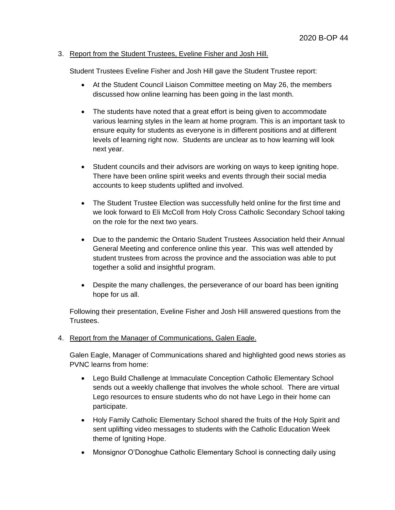### 3. Report from the Student Trustees, Eveline Fisher and Josh Hill.

Student Trustees Eveline Fisher and Josh Hill gave the Student Trustee report:

- At the Student Council Liaison Committee meeting on May 26, the members discussed how online learning has been going in the last month.
- The students have noted that a great effort is being given to accommodate various learning styles in the learn at home program. This is an important task to ensure equity for students as everyone is in different positions and at different levels of learning right now. Students are unclear as to how learning will look next year.
- Student councils and their advisors are working on ways to keep igniting hope. There have been online spirit weeks and events through their social media accounts to keep students uplifted and involved.
- The Student Trustee Election was successfully held online for the first time and we look forward to Eli McColl from Holy Cross Catholic Secondary School taking on the role for the next two years.
- Due to the pandemic the Ontario Student Trustees Association held their Annual General Meeting and conference online this year. This was well attended by student trustees from across the province and the association was able to put together a solid and insightful program.
- Despite the many challenges, the perseverance of our board has been igniting hope for us all.

Following their presentation, Eveline Fisher and Josh Hill answered questions from the Trustees.

4. Report from the Manager of Communications, Galen Eagle.

Galen Eagle, Manager of Communications shared and highlighted good news stories as PVNC learns from home:

- Lego Build Challenge at Immaculate Conception Catholic Elementary School sends out a weekly challenge that involves the whole school. There are virtual Lego resources to ensure students who do not have Lego in their home can participate.
- Holy Family Catholic Elementary School shared the fruits of the Holy Spirit and sent uplifting video messages to students with the Catholic Education Week theme of Igniting Hope.
- Monsignor O'Donoghue Catholic Elementary School is connecting daily using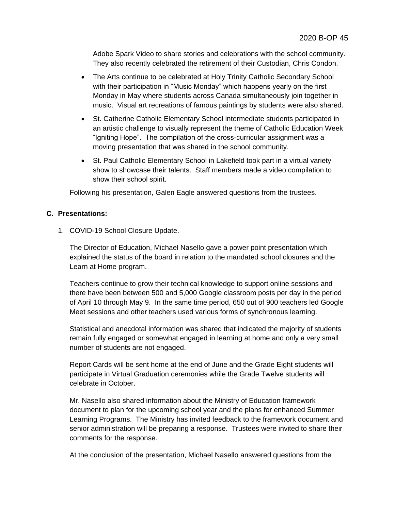Adobe Spark Video to share stories and celebrations with the school community. They also recently celebrated the retirement of their Custodian, Chris Condon.

- The Arts continue to be celebrated at Holy Trinity Catholic Secondary School with their participation in "Music Monday" which happens yearly on the first Monday in May where students across Canada simultaneously join together in music. Visual art recreations of famous paintings by students were also shared.
- St. Catherine Catholic Elementary School intermediate students participated in an artistic challenge to visually represent the theme of Catholic Education Week "Igniting Hope". The compilation of the cross-curricular assignment was a moving presentation that was shared in the school community.
- St. Paul Catholic Elementary School in Lakefield took part in a virtual variety show to showcase their talents. Staff members made a video compilation to show their school spirit.

Following his presentation, Galen Eagle answered questions from the trustees.

### **C. Presentations:**

### 1. COVID-19 School Closure Update.

The Director of Education, Michael Nasello gave a power point presentation which explained the status of the board in relation to the mandated school closures and the Learn at Home program.

Teachers continue to grow their technical knowledge to support online sessions and there have been between 500 and 5,000 Google classroom posts per day in the period of April 10 through May 9. In the same time period, 650 out of 900 teachers led Google Meet sessions and other teachers used various forms of synchronous learning.

Statistical and anecdotal information was shared that indicated the majority of students remain fully engaged or somewhat engaged in learning at home and only a very small number of students are not engaged.

Report Cards will be sent home at the end of June and the Grade Eight students will participate in Virtual Graduation ceremonies while the Grade Twelve students will celebrate in October.

Mr. Nasello also shared information about the Ministry of Education framework document to plan for the upcoming school year and the plans for enhanced Summer Learning Programs. The Ministry has invited feedback to the framework document and senior administration will be preparing a response. Trustees were invited to share their comments for the response.

At the conclusion of the presentation, Michael Nasello answered questions from the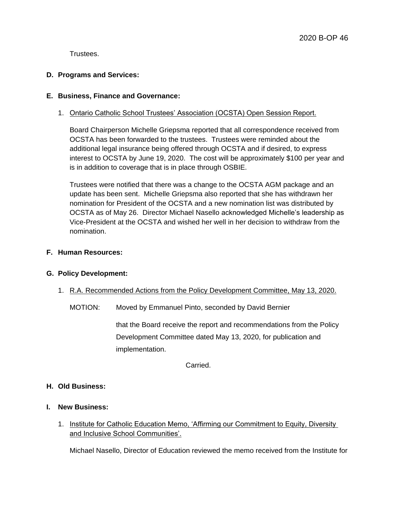Trustees.

#### **D. Programs and Services:**

### **E. Business, Finance and Governance:**

1. Ontario Catholic School Trustees' Association (OCSTA) Open Session Report.

Board Chairperson Michelle Griepsma reported that all correspondence received from OCSTA has been forwarded to the trustees. Trustees were reminded about the additional legal insurance being offered through OCSTA and if desired, to express interest to OCSTA by June 19, 2020. The cost will be approximately \$100 per year and is in addition to coverage that is in place through OSBIE.

Trustees were notified that there was a change to the OCSTA AGM package and an update has been sent. Michelle Griepsma also reported that she has withdrawn her nomination for President of the OCSTA and a new nomination list was distributed by OCSTA as of May 26. Director Michael Nasello acknowledged Michelle's leadership as Vice-President at the OCSTA and wished her well in her decision to withdraw from the nomination.

# **F. Human Resources:**

#### **G. Policy Development:**

1. R.A. Recommended Actions from the Policy Development Committee, May 13, 2020.

MOTION: Moved by Emmanuel Pinto, seconded by David Bernier

that the Board receive the report and recommendations from the Policy Development Committee dated May 13, 2020, for publication and implementation.

Carried.

# **H. Old Business:**

- **I. New Business:** 
	- 1. Institute for Catholic Education Memo, 'Affirming our Commitment to Equity, Diversity and Inclusive School Communities'.

Michael Nasello, Director of Education reviewed the memo received from the Institute for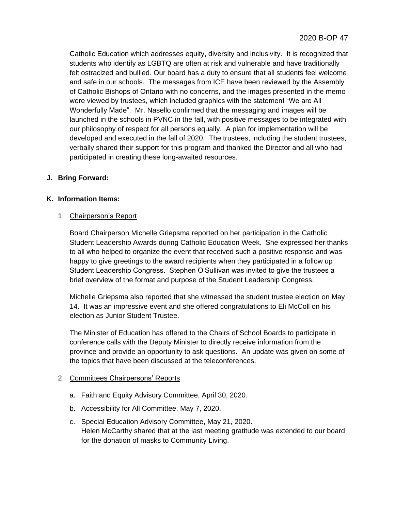Catholic Education which addresses equity, diversity and inclusivity. It is recognized that students who identify as LGBTQ are often at risk and vulnerable and have traditionally felt ostracized and bullied. Our board has a duty to ensure that all students feel welcome and safe in our schools. The messages from ICE have been reviewed by the Assembly of Catholic Bishops of Ontario with no concerns, and the images presented in the memo were viewed by trustees, which included graphics with the statement "We are All Wonderfully Made". Mr. Nasello confirmed that the messaging and images will be launched in the schools in PVNC in the fall, with positive messages to be integrated with our philosophy of respect for all persons equally. A plan for implementation will be developed and executed in the fall of 2020. The trustees, including the student trustees, verbally shared their support for this program and thanked the Director and all who had participated in creating these long-awaited resources.

# **J. Bring Forward:**

### **K. Information Items:**

### 1. Chairperson's Report

Board Chairperson Michelle Griepsma reported on her participation in the Catholic Student Leadership Awards during Catholic Education Week. She expressed her thanks to all who helped to organize the event that received such a positive response and was happy to give greetings to the award recipients when they participated in a follow up Student Leadership Congress. Stephen O'Sullivan was invited to give the trustees a brief overview of the format and purpose of the Student Leadership Congress.

Michelle Griepsma also reported that she witnessed the student trustee election on May 14. It was an impressive event and she offered congratulations to Eli McColl on his election as Junior Student Trustee.

The Minister of Education has offered to the Chairs of School Boards to participate in conference calls with the Deputy Minister to directly receive information from the province and provide an opportunity to ask questions. An update was given on some of the topics that have been discussed at the teleconferences.

#### 2. Committees Chairpersons' Reports

- a. Faith and Equity Advisory Committee, April 30, 2020.
- b. Accessibility for All Committee, May 7, 2020.
- c. Special Education Advisory Committee, May 21, 2020. Helen McCarthy shared that at the last meeting gratitude was extended to our board for the donation of masks to Community Living.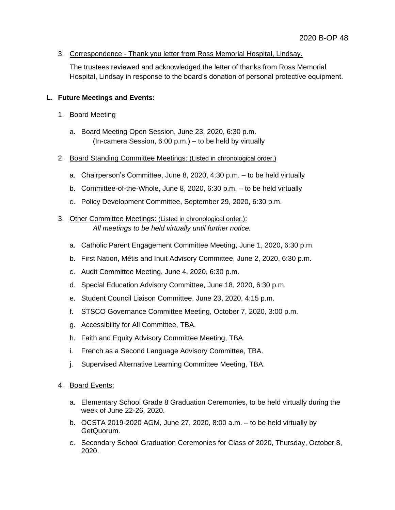3. Correspondence - Thank you letter from Ross Memorial Hospital, Lindsay.

The trustees reviewed and acknowledged the letter of thanks from Ross Memorial Hospital, Lindsay in response to the board's donation of personal protective equipment.

### **L. Future Meetings and Events:**

- 1. Board Meeting
	- a. Board Meeting Open Session, June 23, 2020, 6:30 p.m. (In-camera Session, 6:00 p.m.) – to be held by virtually
- 2. Board Standing Committee Meetings: (Listed in chronological order.)
	- a. Chairperson's Committee, June 8, 2020, 4:30 p.m. to be held virtually
	- b. Committee-of-the-Whole, June 8, 2020, 6:30 p.m. to be held virtually
	- c. Policy Development Committee, September 29, 2020, 6:30 p.m.
- 3. Other Committee Meetings: (Listed in chronological order.): *All meetings to be held virtually until further notice.*
	- a. Catholic Parent Engagement Committee Meeting, June 1, 2020, 6:30 p.m.
	- b. First Nation, Métis and Inuit Advisory Committee, June 2, 2020, 6:30 p.m.
	- c. Audit Committee Meeting, June 4, 2020, 6:30 p.m.
	- d. Special Education Advisory Committee, June 18, 2020, 6:30 p.m.
	- e. Student Council Liaison Committee, June 23, 2020, 4:15 p.m.
	- f. STSCO Governance Committee Meeting, October 7, 2020, 3:00 p.m.
	- g. Accessibility for All Committee, TBA.
	- h. Faith and Equity Advisory Committee Meeting, TBA.
	- i. French as a Second Language Advisory Committee, TBA.
	- j. Supervised Alternative Learning Committee Meeting, TBA.
- 4. Board Events:
	- a. Elementary School Grade 8 Graduation Ceremonies, to be held virtually during the week of June 22-26, 2020.
	- b. OCSTA 2019-2020 AGM, June 27, 2020, 8:00 a.m. to be held virtually by GetQuorum.
	- c. Secondary School Graduation Ceremonies for Class of 2020, Thursday, October 8, 2020.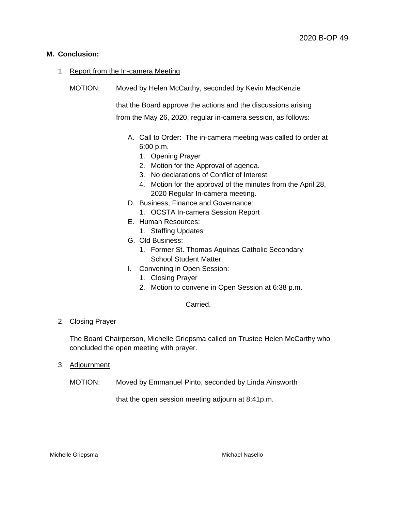# **M. Conclusion:**

### 1. Report from the In-camera Meeting

MOTION: Moved by Helen McCarthy, seconded by Kevin MacKenzie

that the Board approve the actions and the discussions arising from the May 26, 2020, regular in-camera session, as follows:

- A. Call to Order: The in-camera meeting was called to order at 6:00 p.m.
	- 1. Opening Prayer
	- 2. Motion for the Approval of agenda.
	- 3. No declarations of Conflict of Interest
	- 4. Motion for the approval of the minutes from the April 28, 2020 Regular In-camera meeting.
- D. Business, Finance and Governance:
	- 1. OCSTA In-camera Session Report
- E. Human Resources:
	- 1. Staffing Updates
- G. Old Business:
	- 1. Former St. Thomas Aquinas Catholic Secondary School Student Matter.
- I. Convening in Open Session:
	- 1. Closing Prayer
	- 2. Motion to convene in Open Session at 6:38 p.m.

#### Carried.

2. Closing Prayer

The Board Chairperson, Michelle Griepsma called on Trustee Helen McCarthy who concluded the open meeting with prayer.

- 3. Adjournment
	- MOTION: Moved by Emmanuel Pinto, seconded by Linda Ainsworth

that the open session meeting adjourn at 8:41p.m.

Michelle Griepsma Michael Nasello